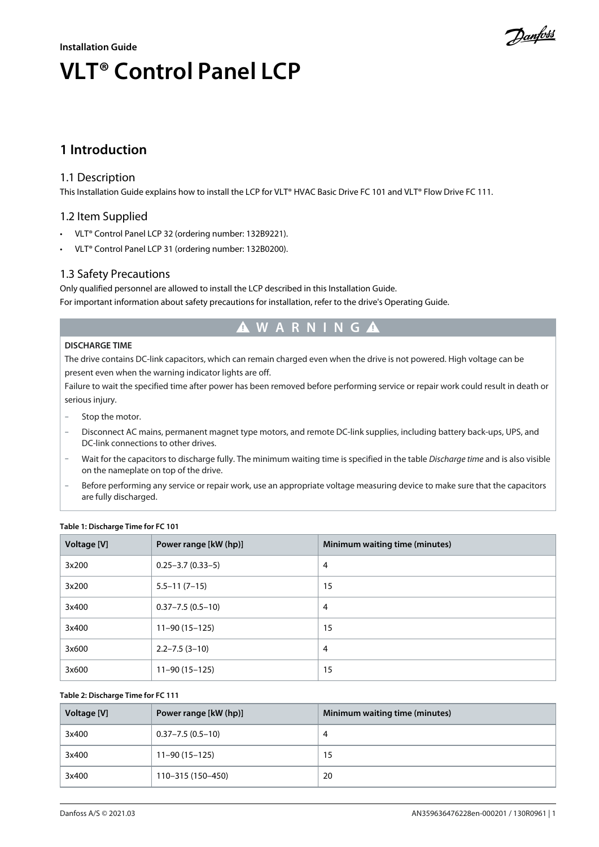## **Installation Guide VLT® Control Panel LCP**

<u> Danfoss</u>

### **1 Introduction**

#### 1.1 Description

This Installation Guide explains how to install the LCP for VLT® HVAC Basic Drive FC 101 and VLT® Flow Drive FC 111.

#### 1.2 Item Supplied

- VLT® Control Panel LCP 32 (ordering number: 132B9221).
- VLT® Control Panel LCP 31 (ordering number: 132B0200).

#### 1.3 Safety Precautions

Only qualified personnel are allowed to install the LCP described in this Installation Guide. For important information about safety precautions for installation, refer to the drive's Operating Guide.

## **W A R N I N G**

#### **DISCHARGE TIME**

The drive contains DC-link capacitors, which can remain charged even when the drive is not powered. High voltage can be present even when the warning indicator lights are off.

Failure to wait the specified time after power has been removed before performing service or repair work could result in death or serious injury.

- Stop the motor.
- Disconnect AC mains, permanent magnet type motors, and remote DC-link supplies, including battery back-ups, UPS, and DC-link connections to other drives.
- Wait for the capacitors to discharge fully. The minimum waiting time is specified in the table *Discharge time* and is also visible on the nameplate on top of the drive.
- Before performing any service or repair work, use an appropriate voltage measuring device to make sure that the capacitors are fully discharged.

| Voltage [V] | Power range [kW (hp)]  | Minimum waiting time (minutes) |
|-------------|------------------------|--------------------------------|
| 3x200       | $0.25 - 3.7(0.33 - 5)$ | $\overline{4}$                 |
| 3x200       | $5.5 - 11(7 - 15)$     | 15                             |
| 3x400       | $0.37 - 7.5(0.5 - 10)$ | $\overline{4}$                 |
| 3x400       | $11 - 90(15 - 125)$    | 15                             |
| 3x600       | $2.2 - 7.5(3 - 10)$    | $\overline{4}$                 |
| 3x600       | $11 - 90(15 - 125)$    | 15                             |

#### **Table 1: Discharge Time for FC 101**

#### **Table 2: Discharge Time for FC 111**

| Voltage [V] | Power range [kW (hp)]  | Minimum waiting time (minutes) |
|-------------|------------------------|--------------------------------|
| 3x400       | $0.37 - 7.5(0.5 - 10)$ | 4                              |
| 3x400       | $11 - 90(15 - 125)$    | 15                             |
| 3x400       | 110-315 (150-450)      | 20                             |